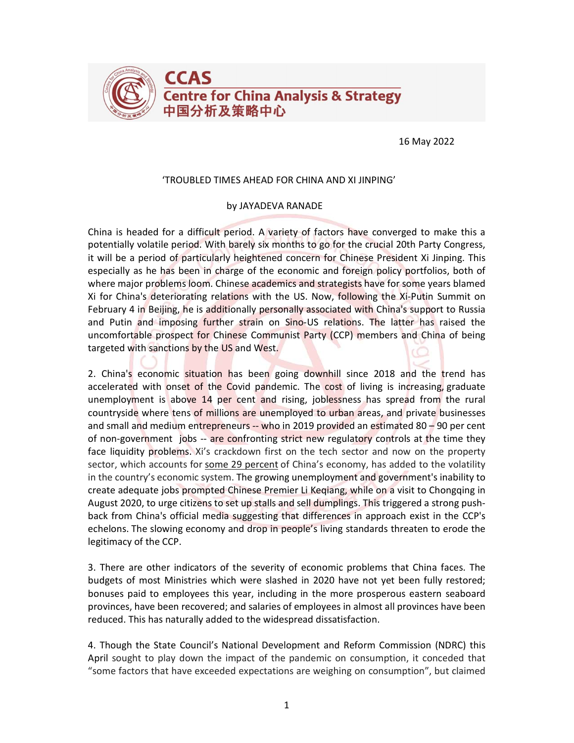

16 May 2022

## 'TROUBLED TIMES AHEAD FOR CHINA AND XI JINPING'

## by JAYADEVA RANADE

China is headed for a difficult period. A variety of factors have converged to make this a potentially volatile period. With barely six months to go for the crucial 20th Party Congress, it will be a period of particularly heightened concern for Chinese President Xi Jinping. This especially as he has been in charge of the economic and foreign policy portfolios, both of where major problems loom. Chinese academics and strategists have for some years blamed Xi for China's deteriorating relations with the US. Now, following the Xi-Putin Summit on February 4 in Beijing, he is additionally personally associated with China's support to Russia and Putin and imposing further strain on Sino-US relations. The latter has raised the uncomfortable prospect for Chinese Communist Party (CCP) members and China of being targeted with sanctions by the US and West.

2. China's economic situation has been going downhill since 2018 and the trend has accelerated with onset of the Covid pandemic. The cost of living is increasing, graduate unemployment is above 14 per cent and rising, joblessness has spread from the rural countryside where tens of millions are unemployed to urban areas, and private businesses and small and medium entrepreneurs -- who in 2019 provided an estimated 80 – 90 per cent of non-government jobs -- are confronting strict new regulatory controls at the time they face liquidity problems. Xi's crackdown first on the tech sector and now on the property sector, which accounts for some 29 percent of China's economy, has added to the volatility in the country's economic system. The growing unemployment and government's inability to create adequate jobs prompted Chinese Premier Li Keqiang, while on a visit to Chongqing in August 2020, to urge citizens to set up stalls and sell dumplings. This triggered a strong pushback from China's official media suggesting that differences in approach exist in the CCP's echelons. The slowing economy and drop in people's living standards threaten to erode the legitimacy of the CCP.

3. There are other indicators of the severity of economic problems that China faces. The budgets of most Ministries which were slashed in 2020 have not yet been fully restored; bonuses paid to employees this year, including in the more prosperous eastern seaboard provinces, have been recovered; and salaries of employees in almost all provinces have been reduced. This has naturally added to the widespread dissatisfaction.

4. Though the State Council's National Development and Reform Commission (NDRC) this April sought to play down the impact of the pandemic on consumption, it conceded that "some factors that have exceeded expectations are weighing on consumption", but claimed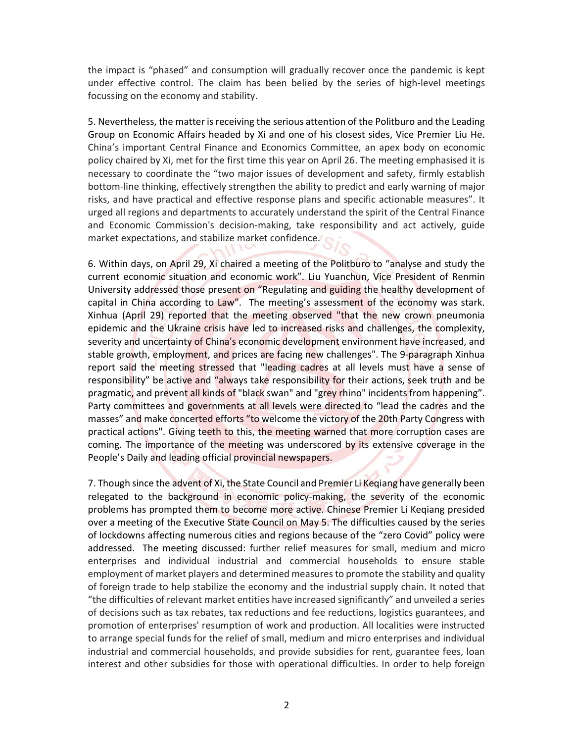the impact is "phased" and consumption will gradually recover once the pandemic is kept under effective control. The claim has been belied by the series of high-level meetings focussing on the economy and stability.

5. Nevertheless, the matter is receiving the serious attention of the Politburo and the Leading Group on Economic Affairs headed by Xi and one of his closest sides, Vice Premier Liu He. China's important Central Finance and Economics Committee, an apex body on economic policy chaired by Xi, met for the first time this year on April 26. The meeting emphasised it is necessary to coordinate the "two major issues of development and safety, firmly establish bottom-line thinking, effectively strengthen the ability to predict and early warning of major risks, and have practical and effective response plans and specific actionable measures". It urged all regions and departments to accurately understand the spirit of the Central Finance and Economic Commission's decision-making, take responsibility and act actively, guide market expectations, and stabilize market confidence.

6. Within days, on April 29, Xi chaired a meeting of the Politburo to "analyse and study the current economic situation and economic work". Liu Yuanchun, Vice President of Renmin University addressed those present on "Regulating and guiding the healthy development of capital in China according to Law". The meeting's assessment of the economy was stark. Xinhua (April 29) reported that the meeting observed "that the new crown pneumonia epidemic and the Ukraine crisis have led to increased risks and challenges, the complexity, severity and uncertainty of China's economic development environment have increased, and stable growth, employment, and prices are facing new challenges". The 9-paragraph Xinhua report said the meeting stressed that "leading cadres at all levels must have a sense of responsibility" be active and "always take responsibility for their actions, seek truth and be pragmatic, and prevent all kinds of "black swan" and "grey rhino" incidents from happening". Party committees and governments at all levels were directed to "lead the cadres and the masses" and make concerted efforts "to welcome the victory of the 20th Party Congress with practical actions". Giving teeth to this, the meeting warned that more corruption cases are coming. The importance of the meeting was underscored by its extensive coverage in the People's Daily and leading official provincial newspapers.

7. Though since the advent of Xi, the State Council and Premier Li Keqiang have generally been relegated to the background in economic policy-making, the severity of the economic problems has prompted them to become more active. Chinese Premier Li Keqiang presided over a meeting of the Executive State Council on May 5. The difficulties caused by the series of lockdowns affecting numerous cities and regions because of the "zero Covid" policy were addressed. The meeting discussed: further relief measures for small, medium and micro enterprises and individual industrial and commercial households to ensure stable employment of market players and determined measures to promote the stability and quality of foreign trade to help stabilize the economy and the industrial supply chain. It noted that "the difficulties of relevant market entities have increased significantly" and unveiled a series of decisions such as tax rebates, tax reductions and fee reductions, logistics guarantees, and promotion of enterprises' resumption of work and production. All localities were instructed to arrange special funds for the relief of small, medium and micro enterprises and individual industrial and commercial households, and provide subsidies for rent, guarantee fees, loan interest and other subsidies for those with operational difficulties. In order to help foreign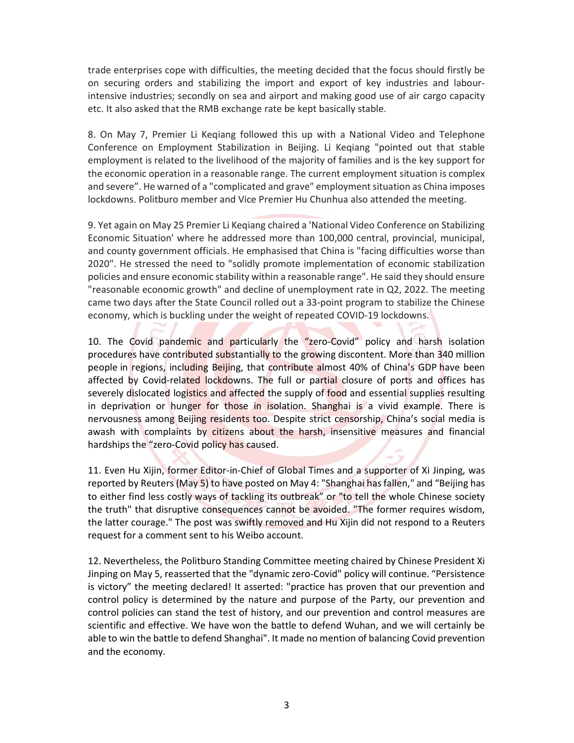trade enterprises cope with difficulties, the meeting decided that the focus should firstly be on securing orders and stabilizing the import and export of key industries and labourintensive industries; secondly on sea and airport and making good use of air cargo capacity etc. It also asked that the RMB exchange rate be kept basically stable.

8. On May 7, Premier Li Keqiang followed this up with a National Video and Telephone Conference on Employment Stabilization in Beijing. Li Keqiang "pointed out that stable employment is related to the livelihood of the majority of families and is the key support for the economic operation in a reasonable range. The current employment situation is complex and severe". He warned of a "complicated and grave" employment situation as China imposes lockdowns. Politburo member and Vice Premier Hu Chunhua also attended the meeting.

9. Yet again on May 25 Premier Li Keqiang chaired a 'National Video Conference on Stabilizing Economic Situation' where he addressed more than 100,000 central, provincial, municipal, and county government officials. He emphasised that China is "facing difficulties worse than 2020". He stressed the need to "solidly promote implementation of economic stabilization policies and ensure economic stability within a reasonable range". He said they should ensure "reasonable economic growth" and decline of unemployment rate in Q2, 2022. The meeting came two days after the State Council rolled out a 33-point program to stabilize the Chinese economy, which is buckling under the weight of repeated COVID-19 lockdowns.

10. The Covid pandemic and particularly the "zero-Covid" policy and harsh isolation procedures have contributed substantially to the growing discontent. More than 340 million people in regions, including Beijing, that contribute almost 40% of China's GDP have been affected by Covid-related lockdowns. The full or partial closure of ports and offices has severely dislocated logistics and affected the supply of food and essential supplies resulting in deprivation or hunger for those in isolation. Shanghai is a vivid example. There is nervousness among Beijing residents too. Despite strict censorship, China's social media is awash with complaints by citizens about the harsh, insensitive measures and financial hardships the "zero-Covid policy has caused.

11. Even Hu Xijin, former Editor-in-Chief of Global Times and a supporter of Xi Jinping, was reported by Reuters (May 5) to have posted on May 4: "Shanghai has fallen," and "Beijing has to either find less costly ways of tackling its outbreak" or "to tell the whole Chinese society the truth" that disruptive consequences cannot be avoided. "The former requires wisdom, the latter courage." The post was swiftly removed and Hu Xijin did not respond to a Reuters request for a comment sent to his Weibo account.

12. Nevertheless, the Politburo Standing Committee meeting chaired by Chinese President Xi Jinping on May 5, reasserted that the "dynamic zero-Covid" policy will continue. "Persistence is victory" the meeting declared! It asserted: "practice has proven that our prevention and control policy is determined by the nature and purpose of the Party, our prevention and control policies can stand the test of history, and our prevention and control measures are scientific and effective. We have won the battle to defend Wuhan, and we will certainly be able to win the battle to defend Shanghai". It made no mention of balancing Covid prevention and the economy.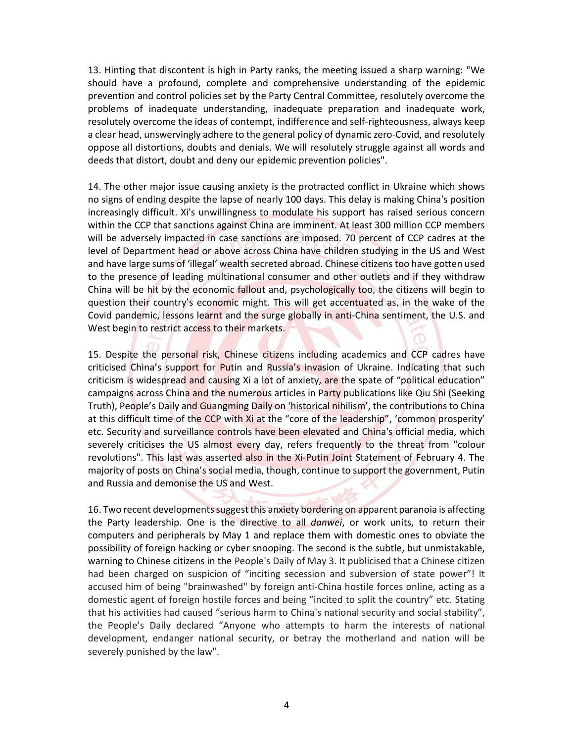13. Hinting that discontent is high in Party ranks, the meeting issued a sharp warning: "We should have a profound, complete and comprehensive understanding of the epidemic prevention and control policies set by the Party Central Committee, resolutely overcome the problems of inadequate understanding, inadequate preparation and inadequate work, resolutely overcome the ideas of contempt, indifference and self-righteousness, always keep a clear head, unswervingly adhere to the general policy of dynamic zero-Covid, and resolutely oppose all distortions, doubts and denials. We will resolutely struggle against all words and deeds that distort, doubt and deny our epidemic prevention policies".

14. The other major issue causing anxiety is the protracted conflict in Ukraine which shows no signs of ending despite the lapse of nearly 100 days. This delay is making China's position increasingly difficult. Xi's unwillingness to modulate his support has raised serious concern within the CCP that sanctions against China are imminent. At least 300 million CCP members will be adversely impacted in case sanctions are imposed. 70 percent of CCP cadres at the level of Department head or above across China have children studying in the US and West and have large sums of 'illegal' wealth secreted abroad. Chinese citizens too have gotten used to the presence of leading multinational consumer and other outlets and if they withdraw China will be hit by the economic fallout and, psychologically too, the citizens will begin to question their country's economic might. This will get accentuated as, in the wake of the Covid pandemic, lessons learnt and the surge globally in anti-China sentiment, the U.S. and West begin to restrict access to their markets.

15. Despite the personal risk, Chinese citizens including academics and CCP cadres have criticised China's support for Putin and Russia's invasion of Ukraine. Indicating that such criticism is widespread and causing Xi a lot of anxiety, are the spate of "political education" campaigns across China and the numerous articles in Party publications like Qiu Shi (Seeking Truth), People's Daily and Guangming Daily on 'historical nihilism', the contributions to China at this difficult time of the CCP with Xi at the "core of the leadership", 'common prosperity' etc. Security and surveillance controls have been elevated and China's official media, which severely criticises the US almost every day, refers frequently to the threat from "colour revolutions". This last was asserted also in the Xi-Putin Joint Statement of February 4. The majority of posts on China's social media, though, continue to support the government, Putin and Russia and demonise the US and West.

16. Two recent developments suggest this anxiety bordering on apparent paranoia is affecting the Party leadership. One is the directive to all *danwei*, or work units, to return their computers and peripherals by May 1 and replace them with domestic ones to obviate the possibility of foreign hacking or cyber snooping. The second is the subtle, but unmistakable, warning to Chinese citizens in the People's Daily of May 3. It publicised that a Chinese citizen had been charged on suspicion of "inciting secession and subversion of state power"! It accused him of being "brainwashed" by foreign anti-China hostile forces online, acting as a domestic agent of foreign hostile forces and being "incited to split the country" etc. Stating that his activities had caused "serious harm to China's national security and social stability", the People's Daily declared "Anyone who attempts to harm the interests of national development, endanger national security, or betray the motherland and nation will be severely punished by the law".